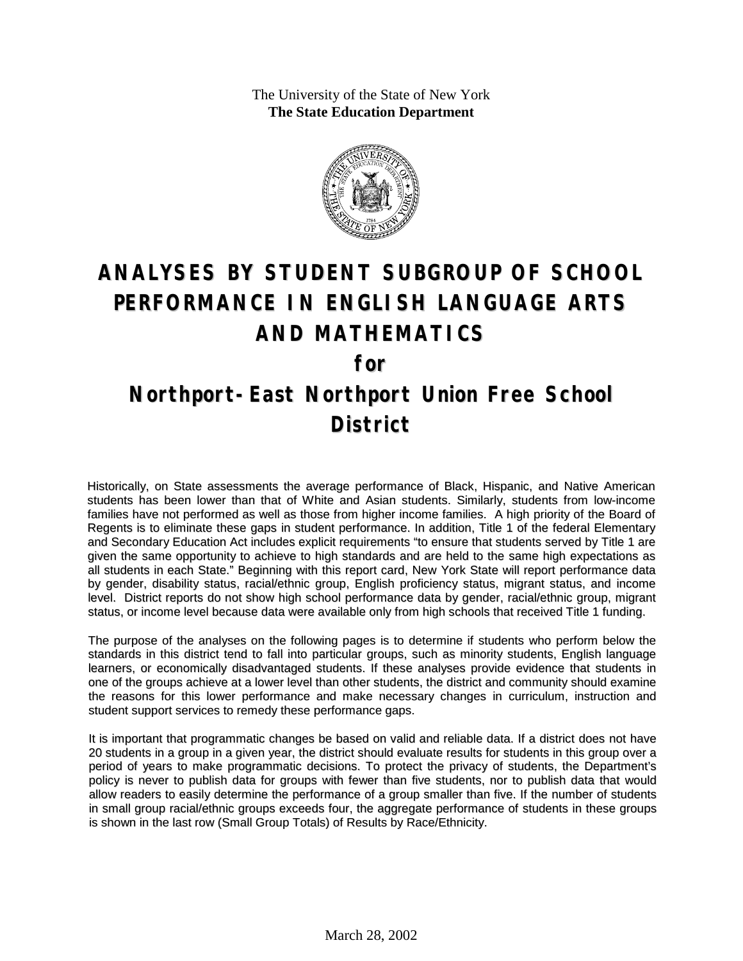The University of the State of New York **The State Education Department**



# **ANALYSES BY STUDENT SUBGROUP OF SCHOOL PERFORMANCE IN ENGLISH LANGUAGE ARTS AND MATHEMATICS for Northport-East Northport Union Free School District**

Historically, on State assessments the average performance of Black, Hispanic, and Native American students has been lower than that of White and Asian students. Similarly, students from low-income families have not performed as well as those from higher income families. A high priority of the Board of Regents is to eliminate these gaps in student performance. In addition, Title 1 of the federal Elementary and Secondary Education Act includes explicit requirements "to ensure that students served by Title 1 are given the same opportunity to achieve to high standards and are held to the same high expectations as all students in each State." Beginning with this report card, New York State will report performance data by gender, disability status, racial/ethnic group, English proficiency status, migrant status, and income level. District reports do not show high school performance data by gender, racial/ethnic group, migrant status, or income level because data were available only from high schools that received Title 1 funding.

The purpose of the analyses on the following pages is to determine if students who perform below the standards in this district tend to fall into particular groups, such as minority students, English language learners, or economically disadvantaged students. If these analyses provide evidence that students in one of the groups achieve at a lower level than other students, the district and community should examine the reasons for this lower performance and make necessary changes in curriculum, instruction and student support services to remedy these performance gaps.

It is important that programmatic changes be based on valid and reliable data. If a district does not have 20 students in a group in a given year, the district should evaluate results for students in this group over a period of years to make programmatic decisions. To protect the privacy of students, the Department's policy is never to publish data for groups with fewer than five students, nor to publish data that would allow readers to easily determine the performance of a group smaller than five. If the number of students in small group racial/ethnic groups exceeds four, the aggregate performance of students in these groups is shown in the last row (Small Group Totals) of Results by Race/Ethnicity.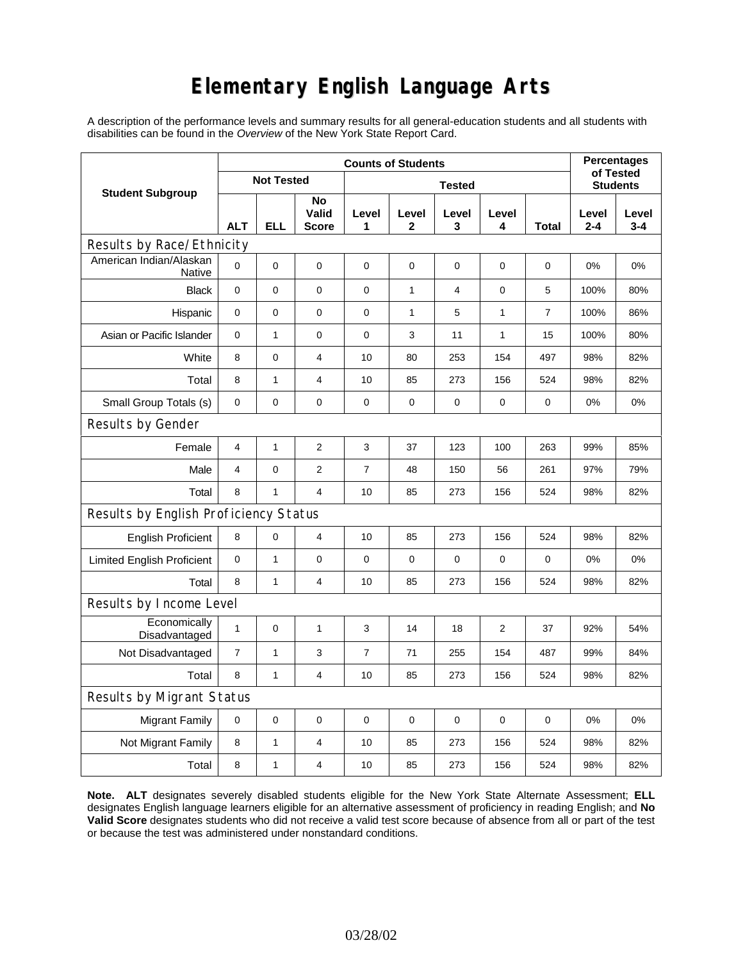## **Elementary English Language Arts**

A description of the performance levels and summary results for all general-education students and all students with disabilities can be found in the *Overview* of the New York State Report Card.

|                                       | <b>Counts of Students</b> |                   |                             |                |                       |            |                 |                |                  | <b>Percentages</b><br>of Tested |
|---------------------------------------|---------------------------|-------------------|-----------------------------|----------------|-----------------------|------------|-----------------|----------------|------------------|---------------------------------|
| <b>Student Subgroup</b>               |                           | <b>Not Tested</b> |                             |                |                       |            | <b>Students</b> |                |                  |                                 |
|                                       | <b>ALT</b>                | <b>ELL</b>        | No<br>Valid<br><b>Score</b> | Level<br>1     | Level<br>$\mathbf{2}$ | Level<br>3 | Level<br>4      | Total          | Level<br>$2 - 4$ | Level<br>$3 - 4$                |
| Results by Race/Ethnicity             |                           |                   |                             |                |                       |            |                 |                |                  |                                 |
| American Indian/Alaskan<br>Native     | 0                         | 0                 | $\pmb{0}$                   | $\pmb{0}$      | $\mathbf 0$           | 0          | $\mathbf 0$     | 0              | 0%               | 0%                              |
| <b>Black</b>                          | 0                         | 0                 | 0                           | 0              | $\mathbf{1}$          | 4          | $\pmb{0}$       | 5              | 100%             | 80%                             |
| Hispanic                              | 0                         | 0                 | $\pmb{0}$                   | $\pmb{0}$      | 1                     | 5          | 1               | $\overline{7}$ | 100%             | 86%                             |
| Asian or Pacific Islander             | 0                         | 1                 | $\mathbf 0$                 | $\mathbf 0$    | 3                     | 11         | 1               | 15             | 100%             | 80%                             |
| White                                 | 8                         | 0                 | $\overline{4}$              | 10             | 80                    | 253        | 154             | 497            | 98%              | 82%                             |
| Total                                 | 8                         | 1                 | 4                           | 10             | 85                    | 273        | 156             | 524            | 98%              | 82%                             |
| Small Group Totals (s)                | 0                         | 0                 | 0                           | 0              | 0                     | 0          | 0               | 0              | 0%               | 0%                              |
| Results by Gender                     |                           |                   |                             |                |                       |            |                 |                |                  |                                 |
| Female                                | 4                         | 1                 | $\overline{c}$              | 3              | 37                    | 123        | 100             | 263            | 99%              | 85%                             |
| Male                                  | 4                         | 0                 | 2                           | 7              | 48                    | 150        | 56              | 261            | 97%              | 79%                             |
| Total                                 | 8                         | $\mathbf{1}$      | $\overline{4}$              | 10             | 85                    | 273        | 156             | 524            | 98%              | 82%                             |
| Results by English Proficiency Status |                           |                   |                             |                |                       |            |                 |                |                  |                                 |
| <b>English Proficient</b>             | 8                         | 0                 | 4                           | 10             | 85                    | 273        | 156             | 524            | 98%              | 82%                             |
| <b>Limited English Proficient</b>     | 0                         | 1                 | $\pmb{0}$                   | $\mathbf 0$    | $\mathbf 0$           | 0          | $\mathbf 0$     | $\mathbf 0$    | 0%               | 0%                              |
| Total                                 | 8                         | 1                 | 4                           | 10             | 85                    | 273        | 156             | 524            | 98%              | 82%                             |
| Results by Income Level               |                           |                   |                             |                |                       |            |                 |                |                  |                                 |
| Economically<br>Disadvantaged         | 1                         | 0                 | $\mathbf{1}$                | 3              | 14                    | 18         | $\overline{2}$  | 37             | 92%              | 54%                             |
| Not Disadvantaged                     | 7                         | 1                 | 3                           | $\overline{7}$ | 71                    | 255        | 154             | 487            | 99%              | 84%                             |
| Total                                 | 8                         | $\mathbf{1}$      | $\overline{4}$              | 10             | 85                    | 273        | 156             | 524            | 98%              | 82%                             |
| Results by Migrant Status             |                           |                   |                             |                |                       |            |                 |                |                  |                                 |
| Migrant Family                        | 0                         | 0                 | 0                           | 0              | 0                     | 0          | 0               | 0              | 0%               | 0%                              |
| Not Migrant Family                    | 8                         | $\mathbf{1}$      | 4                           | 10             | 85                    | 273        | 156             | 524            | 98%              | 82%                             |
| Total                                 | 8                         | 1                 | 4                           | 10             | 85                    | 273        | 156             | 524            | 98%              | 82%                             |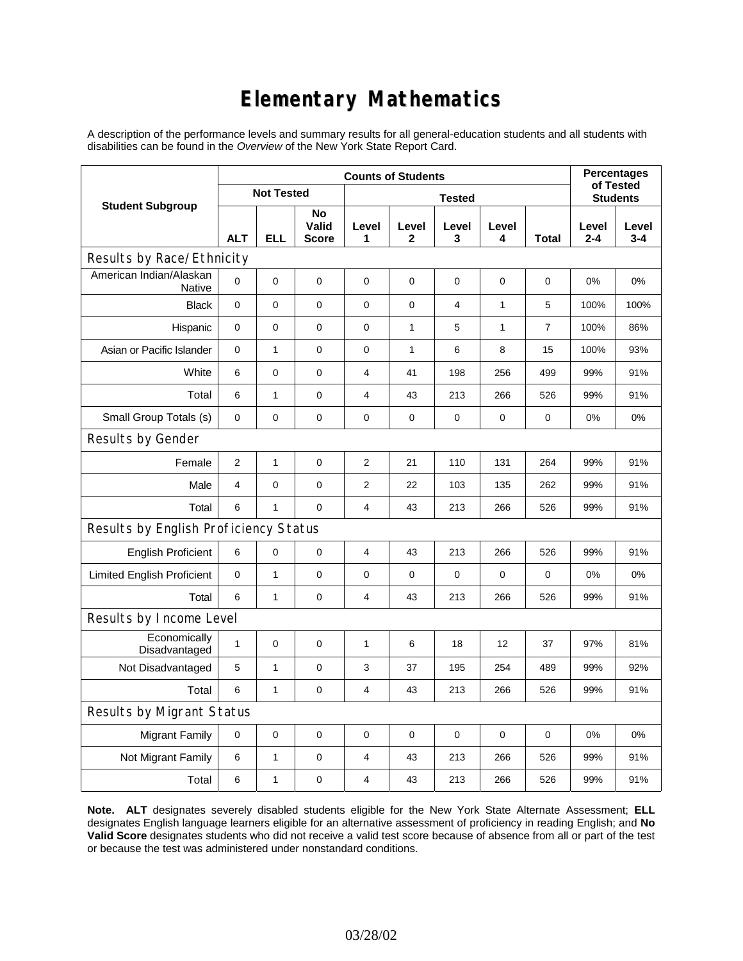## **Elementary Mathematics**

A description of the performance levels and summary results for all general-education students and all students with disabilities can be found in the *Overview* of the New York State Report Card.

|                                          | <b>Counts of Students</b> |                   |                             |                |              |                |              |                 | <b>Percentages</b><br>of Tested |                  |
|------------------------------------------|---------------------------|-------------------|-----------------------------|----------------|--------------|----------------|--------------|-----------------|---------------------------------|------------------|
| <b>Student Subgroup</b>                  |                           | <b>Not Tested</b> |                             |                |              |                |              | <b>Students</b> |                                 |                  |
|                                          | <b>ALT</b>                | <b>ELL</b>        | No<br>Valid<br><b>Score</b> | Level<br>1     | Level<br>2   | Level<br>3     | Level<br>4   | <b>Total</b>    | Level<br>$2 - 4$                | Level<br>$3 - 4$ |
| Results by Race/Ethnicity                |                           |                   |                             |                |              |                |              |                 |                                 |                  |
| American Indian/Alaskan<br><b>Native</b> | 0                         | $\mathbf 0$       | $\mathbf 0$                 | $\mathbf 0$    | 0            | 0              | 0            | 0               | 0%                              | 0%               |
| <b>Black</b>                             | 0                         | 0                 | $\pmb{0}$                   | $\pmb{0}$      | $\mathbf 0$  | $\overline{4}$ | $\mathbf{1}$ | 5               | 100%                            | 100%             |
| Hispanic                                 | 0                         | 0                 | $\pmb{0}$                   | $\mathbf 0$    | $\mathbf{1}$ | 5              | 1            | $\overline{7}$  | 100%                            | 86%              |
| Asian or Pacific Islander                | 0                         | $\mathbf{1}$      | $\mathbf 0$                 | $\pmb{0}$      | $\mathbf{1}$ | 6              | 8            | 15              | 100%                            | 93%              |
| White                                    | 6                         | 0                 | 0                           | $\overline{4}$ | 41           | 198            | 256          | 499             | 99%                             | 91%              |
| Total                                    | 6                         | $\mathbf{1}$      | $\pmb{0}$                   | 4              | 43           | 213            | 266          | 526             | 99%                             | 91%              |
| Small Group Totals (s)                   | $\mathbf 0$               | 0                 | $\mathbf 0$                 | $\pmb{0}$      | $\mathbf 0$  | 0              | 0            | 0               | 0%                              | 0%               |
| Results by Gender                        |                           |                   |                             |                |              |                |              |                 |                                 |                  |
| Female                                   | $\overline{c}$            | $\mathbf{1}$      | $\pmb{0}$                   | $\overline{c}$ | 21           | 110            | 131          | 264             | 99%                             | 91%              |
| Male                                     | $\overline{4}$            | 0                 | $\mathbf 0$                 | $\overline{2}$ | 22           | 103            | 135          | 262             | 99%                             | 91%              |
| Total                                    | 6                         | 1                 | $\mathbf 0$                 | $\overline{4}$ | 43           | 213            | 266          | 526             | 99%                             | 91%              |
| Results by English Proficiency Status    |                           |                   |                             |                |              |                |              |                 |                                 |                  |
| <b>English Proficient</b>                | 6                         | 0                 | $\mathbf 0$                 | 4              | 43           | 213            | 266          | 526             | 99%                             | 91%              |
| <b>Limited English Proficient</b>        | 0                         | 1                 | $\mathbf 0$                 | $\pmb{0}$      | $\mathbf 0$  | 0              | $\pmb{0}$    | 0               | 0%                              | 0%               |
| Total                                    | 6                         | $\mathbf{1}$      | $\mathbf 0$                 | $\overline{4}$ | 43           | 213            | 266          | 526             | 99%                             | 91%              |
| Results by Income Level                  |                           |                   |                             |                |              |                |              |                 |                                 |                  |
| Economically<br>Disadvantaged            | $\mathbf{1}$              | 0                 | $\mathbf 0$                 | 1              | 6            | 18             | 12           | 37              | 97%                             | 81%              |
| Not Disadvantaged                        | 5                         | 1                 | 0                           | 3              | 37           | 195            | 254          | 489             | 99%                             | 92%              |
| Total                                    | 6                         | 1                 | 0                           | $\overline{4}$ | 43           | 213            | 266          | 526             | 99%                             | 91%              |
| Results by Migrant Status                |                           |                   |                             |                |              |                |              |                 |                                 |                  |
| <b>Migrant Family</b>                    | $\pmb{0}$                 | 0                 | $\pmb{0}$                   | $\pmb{0}$      | $\mathbf 0$  | 0              | 0            | $\mathbf 0$     | 0%                              | 0%               |
| Not Migrant Family                       | 6                         | $\mathbf{1}$      | 0                           | $\overline{4}$ | 43           | 213            | 266          | 526             | 99%                             | 91%              |
| Total                                    | 6                         | 1                 | 0                           | $\overline{4}$ | 43           | 213            | 266          | 526             | 99%                             | 91%              |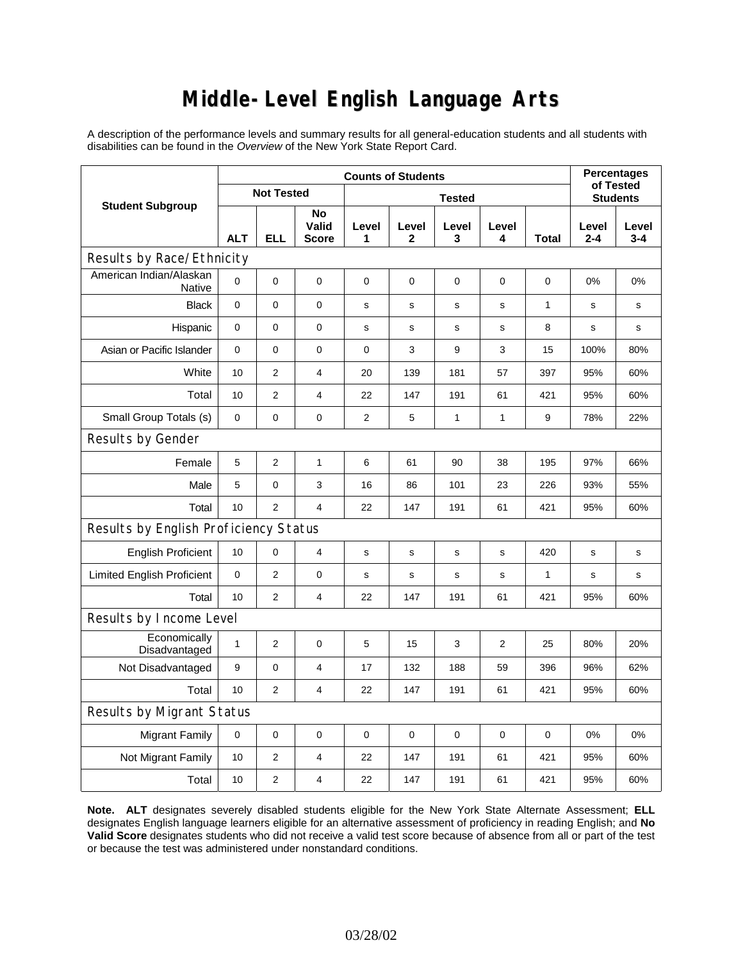# **Middle-Level English Language Arts**

A description of the performance levels and summary results for all general-education students and all students with disabilities can be found in the *Overview* of the New York State Report Card.

|                                       | <b>Counts of Students</b> |                   |                             |             |                       |              |                |                 | <b>Percentages</b><br>of Tested |              |
|---------------------------------------|---------------------------|-------------------|-----------------------------|-------------|-----------------------|--------------|----------------|-----------------|---------------------------------|--------------|
| <b>Student Subgroup</b>               |                           | <b>Not Tested</b> |                             |             |                       |              |                | <b>Students</b> |                                 |              |
|                                       | <b>ALT</b>                | <b>ELL</b>        | No<br>Valid<br><b>Score</b> | Level<br>1  | Level<br>$\mathbf{2}$ | Level<br>3   | Level<br>4     | Total           | Level<br>$2 - 4$                | Level<br>3-4 |
| Results by Race/Ethnicity             |                           |                   |                             |             |                       |              |                |                 |                                 |              |
| American Indian/Alaskan<br>Native     | 0                         | $\mathbf 0$       | 0                           | $\mathbf 0$ | $\mathbf 0$           | $\mathbf 0$  | $\mathbf 0$    | 0               | 0%                              | 0%           |
| <b>Black</b>                          | $\mathbf{0}$              | 0                 | $\mathbf 0$                 | s           | s                     | S            | $\mathbf s$    | 1               | s                               | s            |
| Hispanic                              | 0                         | 0                 | $\pmb{0}$                   | s           | s                     | s            | s              | 8               | s                               | s            |
| Asian or Pacific Islander             | $\mathbf 0$               | 0                 | 0                           | $\mathbf 0$ | 3                     | 9            | 3              | 15              | 100%                            | 80%          |
| White                                 | 10                        | $\overline{2}$    | $\overline{4}$              | 20          | 139                   | 181          | 57             | 397             | 95%                             | 60%          |
| Total                                 | 10                        | $\overline{2}$    | $\overline{4}$              | 22          | 147                   | 191          | 61             | 421             | 95%                             | 60%          |
| Small Group Totals (s)                | 0                         | 0                 | 0                           | 2           | 5                     | $\mathbf{1}$ | 1              | 9               | 78%                             | 22%          |
| Results by Gender                     |                           |                   |                             |             |                       |              |                |                 |                                 |              |
| Female                                | 5                         | $\overline{2}$    | $\mathbf{1}$                | 6           | 61                    | 90           | 38             | 195             | 97%                             | 66%          |
| Male                                  | 5                         | 0                 | 3                           | 16          | 86                    | 101          | 23             | 226             | 93%                             | 55%          |
| Total                                 | 10                        | $\overline{2}$    | $\overline{4}$              | 22          | 147                   | 191          | 61             | 421             | 95%                             | 60%          |
| Results by English Proficiency Status |                           |                   |                             |             |                       |              |                |                 |                                 |              |
| <b>English Proficient</b>             | 10                        | 0                 | $\overline{4}$              | s           | $\mathbf s$           | $\mathbf S$  | $\mathbf s$    | 420             | $\mathbf s$                     | s            |
| <b>Limited English Proficient</b>     | $\pmb{0}$                 | $\overline{2}$    | $\mathbf 0$                 | $\mathbf s$ | s                     | S            | $\mathbf s$    | 1               | S                               | s            |
| Total                                 | 10                        | $\overline{2}$    | 4                           | 22          | 147                   | 191          | 61             | 421             | 95%                             | 60%          |
| Results by Income Level               |                           |                   |                             |             |                       |              |                |                 |                                 |              |
| Economically<br>Disadvantaged         | $\mathbf{1}$              | $\overline{2}$    | $\mathbf 0$                 | 5           | 15                    | 3            | $\overline{2}$ | 25              | 80%                             | 20%          |
| Not Disadvantaged                     | 9                         | 0                 | 4                           | 17          | 132                   | 188          | 59             | 396             | 96%                             | 62%          |
| Total                                 | 10                        | $\overline{2}$    | $\overline{4}$              | 22          | 147                   | 191          | 61             | 421             | 95%                             | 60%          |
| <b>Results by Migrant Status</b>      |                           |                   |                             |             |                       |              |                |                 |                                 |              |
| <b>Migrant Family</b>                 | 0                         | 0                 | 0                           | $\mathbf 0$ | $\mathbf 0$           | $\mathbf 0$  | 0              | 0               | 0%                              | 0%           |
| Not Migrant Family                    | 10                        | $\overline{2}$    | 4                           | 22          | 147                   | 191          | 61             | 421             | 95%                             | 60%          |
| Total                                 | 10                        | $\overline{c}$    | 4                           | 22          | 147                   | 191          | 61             | 421             | 95%                             | 60%          |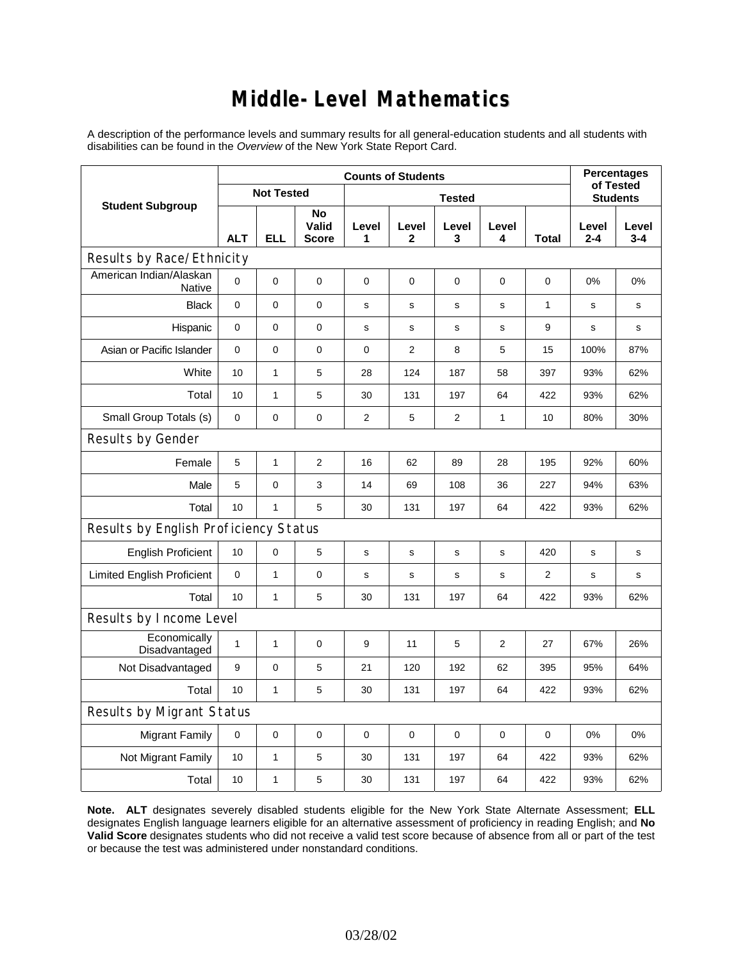### **Middle-Level Mathematics**

A description of the performance levels and summary results for all general-education students and all students with disabilities can be found in the *Overview* of the New York State Report Card.

|                                          | <b>Counts of Students</b> |                   |                             |                |                |                 |             |                | <b>Percentages</b><br>of Tested |                  |
|------------------------------------------|---------------------------|-------------------|-----------------------------|----------------|----------------|-----------------|-------------|----------------|---------------------------------|------------------|
| <b>Student Subgroup</b>                  |                           | <b>Not Tested</b> |                             |                |                | <b>Students</b> |             |                |                                 |                  |
|                                          | <b>ALT</b>                | <b>ELL</b>        | No<br>Valid<br><b>Score</b> | Level<br>1     | Level<br>2     | Level<br>3      | Level<br>4  | Total          | Level<br>$2 - 4$                | Level<br>$3 - 4$ |
| Results by Race/Ethnicity                |                           |                   |                             |                |                |                 |             |                |                                 |                  |
| American Indian/Alaskan<br><b>Native</b> | $\mathbf 0$               | 0                 | $\mathbf 0$                 | 0              | 0              | $\mathbf 0$     | 0           | 0              | 0%                              | 0%               |
| <b>Black</b>                             | $\mathbf 0$               | 0                 | $\pmb{0}$                   | s              | s              | s               | s           | $\mathbf{1}$   | s                               | s                |
| Hispanic                                 | 0                         | 0                 | $\pmb{0}$                   | s              | s              | $\mathbf S$     | s           | 9              | s                               | s                |
| Asian or Pacific Islander                | $\mathbf 0$               | 0                 | $\mathbf 0$                 | 0              | $\overline{2}$ | 8               | 5           | 15             | 100%                            | 87%              |
| White                                    | 10                        | $\mathbf{1}$      | 5                           | 28             | 124            | 187             | 58          | 397            | 93%                             | 62%              |
| Total                                    | 10                        | $\mathbf{1}$      | 5                           | 30             | 131            | 197             | 64          | 422            | 93%                             | 62%              |
| Small Group Totals (s)                   | $\mathbf 0$               | 0                 | 0                           | $\overline{2}$ | 5              | $\overline{2}$  | 1           | 10             | 80%                             | 30%              |
| Results by Gender                        |                           |                   |                             |                |                |                 |             |                |                                 |                  |
| Female                                   | 5                         | $\mathbf{1}$      | $\overline{c}$              | 16             | 62             | 89              | 28          | 195            | 92%                             | 60%              |
| Male                                     | 5                         | 0                 | 3                           | 14             | 69             | 108             | 36          | 227            | 94%                             | 63%              |
| Total                                    | 10                        | 1                 | 5                           | 30             | 131            | 197             | 64          | 422            | 93%                             | 62%              |
| Results by English Proficiency Status    |                           |                   |                             |                |                |                 |             |                |                                 |                  |
| <b>English Proficient</b>                | 10                        | 0                 | 5                           | s              | s              | s               | $\mathbf s$ | 420            | s                               | s                |
| <b>Limited English Proficient</b>        | $\mathbf 0$               | $\mathbf{1}$      | $\pmb{0}$                   | s              | s              | $\mathbf s$     | s           | $\overline{2}$ | $\mathbf s$                     | s                |
| Total                                    | 10                        | $\mathbf{1}$      | 5                           | 30             | 131            | 197             | 64          | 422            | 93%                             | 62%              |
| Results by Income Level                  |                           |                   |                             |                |                |                 |             |                |                                 |                  |
| Economically<br>Disadvantaged            | $\mathbf{1}$              | 1                 | $\mathbf 0$                 | 9              | 11             | 5               | 2           | 27             | 67%                             | 26%              |
| Not Disadvantaged                        | 9                         | 0                 | 5                           | 21             | 120            | 192             | 62          | 395            | 95%                             | 64%              |
| Total                                    | 10                        | $\mathbf{1}$      | 5                           | 30             | 131            | 197             | 64          | 422            | 93%                             | 62%              |
| <b>Results by Migrant Status</b>         |                           |                   |                             |                |                |                 |             |                |                                 |                  |
| <b>Migrant Family</b>                    | $\mathbf 0$               | 0                 | 0                           | $\pmb{0}$      | 0              | $\mathbf 0$     | 0           | 0              | 0%                              | 0%               |
| Not Migrant Family                       | 10                        | 1                 | 5                           | 30             | 131            | 197             | 64          | 422            | 93%                             | 62%              |
| Total                                    | 10                        | 1                 | 5                           | 30             | 131            | 197             | 64          | 422            | 93%                             | 62%              |